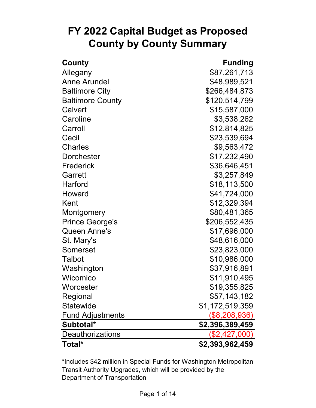# **FY 2022 Capital Budget as Proposed County by County Summary**

| County                  | <b>Funding</b>  |
|-------------------------|-----------------|
| Allegany                | \$87,261,713    |
| <b>Anne Arundel</b>     | \$48,989,521    |
| <b>Baltimore City</b>   | \$266,484,873   |
| <b>Baltimore County</b> | \$120,514,799   |
| Calvert                 | \$15,587,000    |
| Caroline                | \$3,538,262     |
| Carroll                 | \$12,814,825    |
| Cecil                   | \$23,539,694    |
| <b>Charles</b>          | \$9,563,472     |
| <b>Dorchester</b>       | \$17,232,490    |
| Frederick               | \$36,646,451    |
| Garrett                 | \$3,257,849     |
| <b>Harford</b>          | \$18,113,500    |
| Howard                  | \$41,724,000    |
| Kent                    | \$12,329,394    |
| Montgomery              | \$80,481,365    |
| <b>Prince George's</b>  | \$206,552,435   |
| Queen Anne's            | \$17,696,000    |
| St. Mary's              | \$48,616,000    |
| Somerset                | \$23,823,000    |
| <b>Talbot</b>           | \$10,986,000    |
| Washington              | \$37,916,891    |
| Wicomico                | \$11,910,495    |
| Worcester               | \$19,355,825    |
| Regional                | \$57,143,182    |
| <b>Statewide</b>        | \$1,172,519,359 |
| <b>Fund Adjustments</b> | $(\$8,208,936)$ |
| Subtotal*               | \$2,396,389,459 |
| <b>Deauthorizations</b> | (\$2,427,000)   |
| Total*                  | \$2,393,962,459 |

\*Includes \$42 million in Special Funds for Washington Metropolitan Transit Authority Upgrades, which will be provided by the Department of Transportation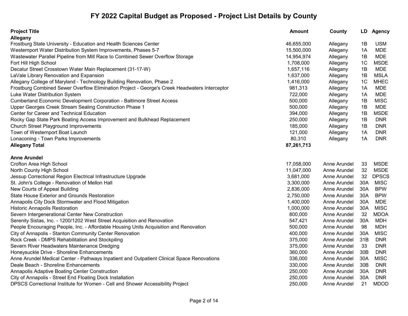| <b>Project Title</b>                                                                          | <b>Amount</b> | County       |                 | LD Agency    |
|-----------------------------------------------------------------------------------------------|---------------|--------------|-----------------|--------------|
| Allegany                                                                                      |               |              |                 |              |
| Frostburg State University - Education and Health Sciences Center                             | 46,655,000    | Allegany     | 1B              | <b>USM</b>   |
| Westernport Water Distribution System Improvements, Phases 5-7                                | 15,500,000    | Allegany     | 1A              | <b>MDE</b>   |
| Wastewater Parallel Pipeline from Mill Race to Combined Sewer Overflow Storage                | 14,954,974    | Allegany     | 1B              | <b>MDE</b>   |
| Fort Hill High School                                                                         | 1,708,000     | Allegany     | 1 <sup>C</sup>  | <b>MSDE</b>  |
| Decatur Street Crosstown Water Main Replacement (31-17-W)                                     | 1,657,116     | Allegany     | 1B              | <b>MDE</b>   |
| LaVale Library Renovation and Expansion                                                       | 1,637,000     | Allegany     | 1B              | <b>MSLA</b>  |
| Allegany College of Maryland - Technology Building Renovation, Phase 2                        | 1,416,000     | Allegany     | 1 <sub>C</sub>  | <b>MHEC</b>  |
| Frostburg Combined Sewer Overflow Elimination Project - George's Creek Headwaters Interceptor | 981,313       | Allegany     | 1A              | <b>MDE</b>   |
| Luke Water Distribution System                                                                | 722,000       | Allegany     | 1A              | <b>MDE</b>   |
| Cumberland Economic Development Corporation - Baltimore Street Access                         | 500,000       | Allegany     | 1B              | <b>MISC</b>  |
| Upper Georges Creek Stream Sealing Construction Phase 1                                       | 500,000       | Allegany     | 1B              | <b>MDE</b>   |
| Center for Career and Technical Education                                                     | 394,000       | Allegany     | 1B              | <b>MSDE</b>  |
| Rocky Gap State Park Boating Access Improvement and Bulkhead Replacement                      | 250,000       | Allegany     | 1B              | <b>DNR</b>   |
| Church Street Playground Improvements                                                         | 185,000       | Allegany     | 1B              | <b>DNR</b>   |
| Town of Westernport Boat Launch                                                               | 121,000       | Allegany     | 1A              | <b>DNR</b>   |
| Lonaconing - Town Parks Improvements                                                          | 80,310        | Allegany     | 1A              | <b>DNR</b>   |
| <b>Allegany Total</b>                                                                         | 87,261,713    |              |                 |              |
| <b>Anne Arundel</b>                                                                           |               |              |                 |              |
| Crofton Area High School                                                                      | 17,058,000    | Anne Arundel | 33              | <b>MSDE</b>  |
| North County High School                                                                      | 11,047,000    | Anne Arundel | 32              | <b>MSDE</b>  |
| Jessup Correctional Region Electrical Infrastructure Upgrade                                  | 3,681,000     | Anne Arundel | 32              | <b>DPSCS</b> |
| St. John's College - Renovation of Mellon Hall                                                | 3,300,000     | Anne Arundel | 30A             | <b>MISC</b>  |
| New Courts of Appeal Building                                                                 | 2,836,000     | Anne Arundel | 30A             | <b>BPW</b>   |
| State House Exterior and Grounds Restoration                                                  | 2,750,000     | Anne Arundel | 30A             | <b>BPW</b>   |
| Annapolis City Dock Stormwater and Flood Mitigation                                           | 1,400,000     | Anne Arundel | 30A             | <b>MDE</b>   |
| <b>Historic Annapolis Restoration</b>                                                         | 1,000,000     | Anne Arundel | 30A             | <b>MISC</b>  |
| Severn Intergenerational Center New Construction                                              | 800,000       | Anne Arundel | 32              | <b>MDOA</b>  |
| Serenity Sistas, Inc. - 1200/1202 West Street Acquisition and Renovation                      | 547,421       | Anne Arundel | 30A             | <b>MDH</b>   |
| People Encouraging People, Inc. - Affordable Housing Units Acquisition and Renovation         | 500,000       | Anne Arundel | 98              | <b>MDH</b>   |
| City of Annapolis - Stanton Community Center Renovation                                       | 400,000       | Anne Arundel | 30A             | <b>MISC</b>  |
| Rock Creek - DMPS Rehabilitation and Stockpiling                                              | 375,000       | Anne Arundel | 31B             | <b>DNR</b>   |
| Severn River Headwaters Maintenance Dredging                                                  | 375,000       | Anne Arundel | 33              | <b>DNR</b>   |
| Honeysuckle Drive - Shoreline Enhancements                                                    | 360,000       | Anne Arundel | 30 <sub>B</sub> | <b>DNR</b>   |
| Anne Arundel Medical Center - Pathways Inpatient and Outpatient Clinical Space Renovations    | 336,000       | Anne Arundel | 30A             | <b>MISC</b>  |
| Deale Beach - Shoreline Enhancements                                                          | 330,000       | Anne Arundel | 30 <sub>B</sub> | <b>DNR</b>   |
| Annapolis Adaptive Boating Center Construction                                                | 250,000       | Anne Arundel | 30A             | <b>DNR</b>   |
| City of Annapolis - Street End Floating Dock Installation                                     | 250,000       | Anne Arundel | 30A             | <b>DNR</b>   |
| DPSCS Correctional Institute for Women - Cell and Shower Accessibility Project                | 250,000       | Anne Arundel | 21              | <b>MDOD</b>  |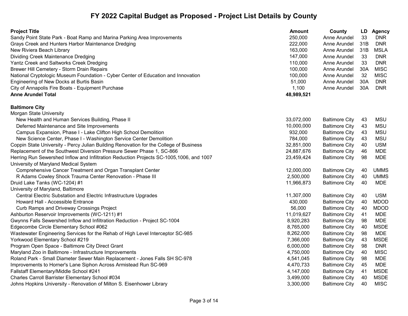| <b>Project Title</b>                                                                    | Amount     | County                | LD  | Agency      |
|-----------------------------------------------------------------------------------------|------------|-----------------------|-----|-------------|
| Sandy Point State Park - Boat Ramp and Marina Parking Area Improvements                 | 250,000    | Anne Arundel          | 33  | <b>DNR</b>  |
| Grays Creek and Hunters Harbor Maintenance Dredging                                     | 222,000    | Anne Arundel          | 31B | <b>DNR</b>  |
| New Riviera Beach Library                                                               | 163,000    | Anne Arundel          | 31B | <b>MSLA</b> |
| Dividing Creek Maintenance Dredging                                                     | 147,000    | Anne Arundel          | 33  | <b>DNR</b>  |
| Yantz Creek and Saltworks Creek Dredging                                                | 110,000    | Anne Arundel          | 33  | <b>DNR</b>  |
| Brewer Hill Cemetery - Storm Drain Repairs                                              | 100,000    | Anne Arundel          | 30A | <b>MISC</b> |
| National Cryptologic Museum Foundation - Cyber Center of Education and Innovation       | 100,000    | Anne Arundel          | 32  | <b>MISC</b> |
| Engineering of New Docks at Burtis Basin                                                | 51,000     | Anne Arundel          | 30A | <b>DNR</b>  |
| City of Annapolis Fire Boats - Equipment Purchase                                       | 1,100      | Anne Arundel          | 30A | <b>DNR</b>  |
| <b>Anne Arundel Total</b>                                                               | 48,989,521 |                       |     |             |
| <b>Baltimore City</b>                                                                   |            |                       |     |             |
| <b>Morgan State University</b>                                                          |            |                       |     |             |
| New Health and Human Services Building, Phase II                                        | 33,072,000 | <b>Baltimore City</b> | 43  | <b>MSU</b>  |
| Deferred Maintenance and Site Improvements                                              | 10,000,000 | <b>Baltimore City</b> | 43  | <b>MSU</b>  |
| Campus Expansion, Phase I - Lake Clifton High School Demolition                         | 932,000    | <b>Baltimore City</b> | 43  | <b>MSU</b>  |
| New Science Center, Phase I - Washington Service Center Demolition                      | 784,000    | <b>Baltimore City</b> | 43  | <b>MSU</b>  |
| Coppin State University - Percy Julian Building Renovation for the College of Business  | 32,851,000 | <b>Baltimore City</b> | 40  | <b>USM</b>  |
| Replacement of the Southwest Diversion Pressure Sewer Phase 1, SC-866                   | 24,887,676 | <b>Baltimore City</b> | 46  | <b>MDE</b>  |
| Herring Run Sewershed Inflow and Infiltration Reduction Projects SC-1005,1006, and 1007 | 23,459,424 | <b>Baltimore City</b> | 98  | <b>MDE</b>  |
| University of Maryland Medical System                                                   |            |                       |     |             |
| Comprehensive Cancer Treatment and Organ Transplant Center                              | 12,000,000 | <b>Baltimore City</b> | 40  | <b>UMMS</b> |
| R Adams Cowley Shock Trauma Center Renovation - Phase III                               | 2,500,000  | <b>Baltimore City</b> | 40  | <b>UMMS</b> |
| Druid Lake Tanks (WC-1204) #1                                                           | 11,966,873 | <b>Baltimore City</b> | 40  | MDE         |
| University of Maryland, Baltimore                                                       |            |                       |     |             |
| Central Electric Substation and Electric Infrastructure Upgrades                        | 11,307,000 | <b>Baltimore City</b> | 40  | <b>USM</b>  |
| Howard Hall - Accessible Entrance                                                       | 430,000    | <b>Baltimore City</b> | 40  | <b>MDOD</b> |
| Curb Ramps and Driveway Crossings Project                                               | 56,000     | <b>Baltimore City</b> | 40  | <b>MDOD</b> |
| Ashburton Reservoir Improvements (WC-1211) #1                                           | 11,019,627 | <b>Baltimore City</b> | 41  | <b>MDE</b>  |
| Gwynns Falls Sewershed Inflow and Infiltration Reduction - Project SC-1004              | 8,920,283  | <b>Baltimore City</b> | 98  | <b>MDE</b>  |
| Edgecombe Circle Elementary School #062                                                 | 8,765,000  | <b>Baltimore City</b> | 40  | <b>MSDE</b> |
| Wastewater Engineering Services for the Rehab of High Level Interceptor SC-985          | 8,262,000  | <b>Baltimore City</b> | 98  | <b>MDE</b>  |
| Yorkwood Elementary School #219                                                         | 7,366,000  | <b>Baltimore City</b> | 43  | <b>MSDE</b> |
| Program Open Space - Baltimore City Direct Grant                                        | 6,000,000  | <b>Baltimore City</b> | 98  | <b>DNR</b>  |
| Maryland Zoo in Baltimore - Infrastructure Improvements                                 | 4,750,000  | <b>Baltimore City</b> | 40  | <b>MISC</b> |
| Roland Park - Small Diameter Sewer Main Replacement - Jones Falls SH SC-978             | 4,541,045  | <b>Baltimore City</b> | 98  | <b>MDE</b>  |
| Improvements to Horner's Lane Siphon Across Armistead Run SC-969                        | 4,470,733  | <b>Baltimore City</b> | 45  | <b>MDE</b>  |
| Fallstaff Elementary/Middle School #241                                                 | 4,147,000  | <b>Baltimore City</b> | 41  | <b>MSDE</b> |
| Charles Carroll Barrister Elementary School #034                                        | 3,499,000  | <b>Baltimore City</b> | 40  | <b>MSDE</b> |
| Johns Hopkins University - Renovation of Milton S. Eisenhower Library                   | 3,300,000  | Baltimore City        | 40  | <b>MISC</b> |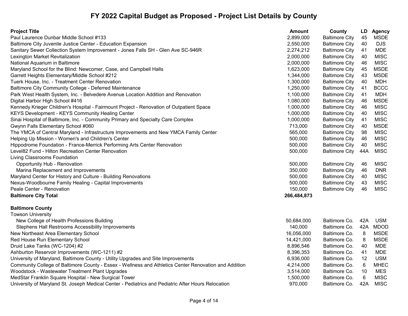| <b>Project Title</b>                                                                                  | <b>Amount</b> | County                | LD              | <b>Agency</b> |
|-------------------------------------------------------------------------------------------------------|---------------|-----------------------|-----------------|---------------|
| Paul Laurence Dunbar Middle School #133                                                               | 2,899,000     | <b>Baltimore City</b> | 45              | <b>MSDE</b>   |
| Baltimore City Juvenile Justice Center - Education Expansion                                          | 2,550,000     | <b>Baltimore City</b> | 40              | <b>DJS</b>    |
| Sanitary Sewer Collection System Improvement - Jones Falls SH - Glen Ave SC-946R                      | 2,274,212     | <b>Baltimore City</b> | 41              | <b>MDE</b>    |
| Lexington Market Revitalization                                                                       | 2,000,000     | <b>Baltimore City</b> | 40              | <b>MISC</b>   |
| National Aquarium in Baltimore                                                                        | 2,000,000     | <b>Baltimore City</b> | 46              | <b>MISC</b>   |
| Maryland School for the Blind: Newcomer, Case, and Campbell Halls                                     | 1,623,000     | <b>Baltimore City</b> | 45              | <b>MSDE</b>   |
| Garrett Heights Elementary/Middle School #212                                                         | 1,344,000     | <b>Baltimore City</b> | 43              | <b>MSDE</b>   |
| Tuerk House, Inc. - Treatment Center Renovation                                                       | 1,300,000     | <b>Baltimore City</b> | 40              | <b>MDH</b>    |
| Baltimore City Community College - Deferred Maintenance                                               | 1,250,000     | <b>Baltimore City</b> | 41              | <b>BCCC</b>   |
| Park West Health System, Inc. - Belvedere Avenue Location Addition and Renovation                     | 1,100,000     | <b>Baltimore City</b> | 41              | <b>MDH</b>    |
| Digital Harbor High School #416                                                                       | 1,080,000     | <b>Baltimore City</b> | 46              | <b>MSDE</b>   |
| Kennedy Krieger Children's Hospital - Fairmount Project - Renovation of Outpatient Space              | 1,000,000     | <b>Baltimore City</b> | 46              | <b>MISC</b>   |
| <b>KEYS Development - KEYS Community Healing Center</b>                                               | 1,000,000     | <b>Baltimore City</b> | 40              | <b>MISC</b>   |
| Sinai Hospital of Baltimore, Inc. - Community Primary and Specialty Care Complex                      | 1,000,000     | <b>Baltimore City</b> | 41              | <b>MISC</b>   |
| Gwynn Falls Elementary School #060                                                                    | 713,000       | <b>Baltimore City</b> | 40              | <b>MSDE</b>   |
| The YMCA of Central Maryland - Infrastructure Improvements and New YMCA Family Center                 | 565,000       | <b>Baltimore City</b> | 98              | <b>MISC</b>   |
| Helping Up Mission - Women's and Children's Center                                                    | 500,000       | <b>Baltimore City</b> | 46              | <b>MISC</b>   |
| Hippodrome Foundation - France-Merrick Performing Arts Center Renovation                              | 500,000       | <b>Baltimore City</b> | 40              | <b>MISC</b>   |
| Level82 Fund - Hilton Recreation Center Renovation                                                    | 500,000       | <b>Baltimore City</b> | 44A             | <b>MISC</b>   |
| Living Classrooms Foundation                                                                          |               |                       |                 |               |
| Opportunity Hub - Renovation                                                                          | 500,000       | <b>Baltimore City</b> | 46              | <b>MISC</b>   |
| Marina Replacement and Improvements                                                                   | 350,000       | <b>Baltimore City</b> | 46              | <b>DNR</b>    |
| Maryland Center for History and Culture - Building Renovations                                        | 500,000       | <b>Baltimore City</b> | 40              | <b>MISC</b>   |
| Nexus-Woodbourne Family Healing - Capital Improvements                                                | 500,000       | <b>Baltimore City</b> | 43              | <b>MISC</b>   |
| Peale Center - Renovation                                                                             | 150,000       | <b>Baltimore City</b> | 46              | <b>MISC</b>   |
| <b>Baltimore City Total</b>                                                                           | 266,484,873   |                       |                 |               |
| <b>Baltimore County</b>                                                                               |               |                       |                 |               |
| <b>Towson University</b>                                                                              |               |                       |                 |               |
| New College of Health Professions Building                                                            | 50,684,000    | Baltimore Co.         | 42A             | <b>USM</b>    |
| Stephens Hall Restrooms Accessibility Improvements                                                    | 140,000       | Baltimore Co.         | 42A             | <b>MDOD</b>   |
| New Northeast Area Elementary School                                                                  | 16,056,000    | Baltimore Co.         | 8               | <b>MSDE</b>   |
| Red House Run Elementary School                                                                       | 14,421,000    | Baltimore Co.         | 8               | <b>MSDE</b>   |
| Druid Lake Tanks (WC-1204) #2                                                                         | 8,896,546     | Baltimore Co.         | 40              | <b>MDE</b>    |
| Ashburton Reservoir Improvements (WC-1211) #2                                                         | 8,396,353     | Baltimore Co.         | 41              | <b>MDE</b>    |
| University of Maryland, Baltimore County - Utility Upgrades and Site Improvements                     | 6,936,000     | Baltimore Co.         | 12              | <b>USM</b>    |
| Community College of Baltimore County - Essex - Wellness and Athletics Center Renovation and Addition | 4,214,000     | Baltimore Co.         | $6\phantom{1}6$ | <b>MHEC</b>   |
| Woodstock - Wastewater Treatment Plant Upgrades                                                       | 3,514,000     | Baltimore Co.         | 10              | <b>MES</b>    |
| MedStar Franklin Square Hospital - New Surgical Tower                                                 | 1,500,000     | Baltimore Co.         | 6               | <b>MISC</b>   |
| University of Maryland St. Joseph Medical Center - Pediatrics and Pediatric After Hours Relocation    | 970,000       | Baltimore Co.         | 42A             | <b>MISC</b>   |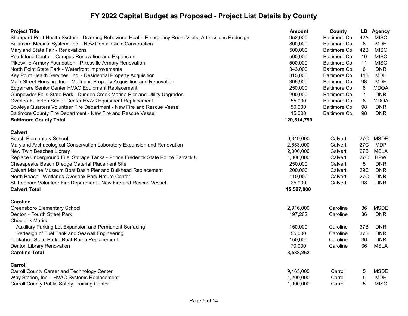| <b>Project Title</b>                                                                                  | <b>Amount</b> | County        | LD             | <b>Agency</b> |
|-------------------------------------------------------------------------------------------------------|---------------|---------------|----------------|---------------|
| Sheppard Pratt Health System - Diverting Behavioral Health Emergency Room Visits, Admissions Redesign | 952,000       | Baltimore Co. | 42A            | <b>MISC</b>   |
| Baltimore Medical System, Inc. - New Dental Clinic Construction                                       | 800,000       | Baltimore Co. | 6              | <b>MDH</b>    |
| Maryland State Fair - Renovations                                                                     | 500,000       | Baltimore Co. | 42B            | <b>MISC</b>   |
| Pearlstone Center - Campus Renovation and Expansion                                                   | 500,000       | Baltimore Co. | 10             | <b>MISC</b>   |
| Pikesville Armory Foundation - Pikesville Armory Renovation                                           | 500,000       | Baltimore Co. | 11             | <b>MISC</b>   |
| North Point State Park - Waterfront Improvements                                                      | 343,000       | Baltimore Co. | $6\phantom{1}$ | <b>DNR</b>    |
| Key Point Health Services, Inc. - Residential Property Acquisition                                    | 315,000       | Baltimore Co. | 44B            | <b>MDH</b>    |
| Main Street Housing, Inc. - Multi-unit Property Acquisition and Renovation                            | 306,900       | Baltimore Co. | 98             | <b>MDH</b>    |
| Edgemere Senior Center HVAC Equipment Replacement                                                     | 250,000       | Baltimore Co. | 6              | <b>MDOA</b>   |
| Gunpowder Falls State Park - Dundee Creek Marina Pier and Utility Upgrades                            | 200,000       | Baltimore Co. | $\overline{7}$ | <b>DNR</b>    |
| Overlea-Fullerton Senior Center HVAC Equipment Replacement                                            | 55,000        | Baltimore Co. | 8              | <b>MDOA</b>   |
| Bowleys Quarters Volunteer Fire Department - New Fire and Rescue Vessel                               | 50,000        | Baltimore Co. | 98             | <b>DNR</b>    |
| Baltimore County Fire Department - New Fire and Rescue Vessel                                         | 15,000        | Baltimore Co. | 98             | <b>DNR</b>    |
| <b>Baltimore County Total</b>                                                                         | 120,514,799   |               |                |               |
| <b>Calvert</b>                                                                                        |               |               |                |               |
| <b>Beach Elementary School</b>                                                                        | 9,349,000     | Calvert       | 27C            | <b>MSDE</b>   |
| Maryland Archaeological Conservation Laboratory Expansion and Renovation                              | 2,653,000     | Calvert       | 27C            | <b>MDP</b>    |
| New Twin Beaches Library                                                                              | 2,000,000     | Calvert       | 27B            | <b>MSLA</b>   |
| Replace Underground Fuel Storage Tanks - Prince Frederick State Police Barrack U                      | 1,000,000     | Calvert       | 27C            | <b>BPW</b>    |
| Chesapeake Beach Dredge Material Placement Site                                                       | 250,000       | Calvert       | 5              | <b>DNR</b>    |
| Calvert Marine Museum Boat Basin Pier and Bulkhead Replacement                                        | 200,000       | Calvert       | 29C            | <b>DNR</b>    |
| North Beach - Wetlands Overlook Park Nature Center                                                    | 110,000       | Calvert       | 27C            | <b>DNR</b>    |
| St. Leonard Volunteer Fire Department - New Fire and Rescue Vessel                                    | 25,000        | Calvert       | 98             | <b>DNR</b>    |
| <b>Calvert Total</b>                                                                                  | 15,587,000    |               |                |               |
| <b>Caroline</b>                                                                                       |               |               |                |               |
| <b>Greensboro Elementary School</b>                                                                   | 2,916,000     | Caroline      | 36             | <b>MSDE</b>   |
| Denton - Fourth Street Park                                                                           | 197,262       | Caroline      | 36             | <b>DNR</b>    |
| Choptank Marina                                                                                       |               |               |                |               |
| Auxiliary Parking Lot Expansion and Permanent Surfacing                                               | 150,000       | Caroline      | 37B            | <b>DNR</b>    |
| Redesign of Fuel Tank and Seawall Engineering                                                         | 55,000        | Caroline      | 37B            | <b>DNR</b>    |
| Tuckahoe State Park - Boat Ramp Replacement                                                           | 150,000       | Caroline      | 36             | <b>DNR</b>    |
| Denton Library Renovation                                                                             | 70,000        | Caroline      | 36             | <b>MSLA</b>   |
| <b>Caroline Total</b>                                                                                 | 3,538,262     |               |                |               |
| Carroll                                                                                               |               |               |                |               |
| Carroll County Career and Technology Center                                                           | 9,463,000     | Carroll       | 5              | <b>MSDE</b>   |
| Way Station, Inc. - HVAC Systems Replacement                                                          | 1,200,000     | Carroll       | 5              | <b>MDH</b>    |
| <b>Carroll County Public Safety Training Center</b>                                                   | 1,000,000     | Carroll       | 5              | <b>MISC</b>   |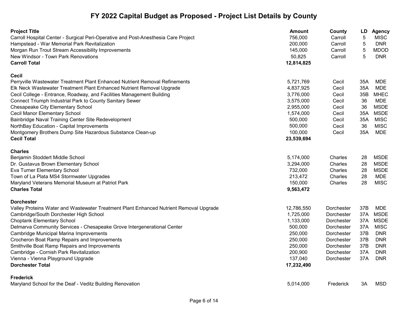| <b>Project Title</b>                                                                   | Amount     | County            | LD         | <b>Agency</b> |
|----------------------------------------------------------------------------------------|------------|-------------------|------------|---------------|
| Carroll Hospital Center - Surgical Peri-Operative and Post-Anesthesia Care Project     | 756,000    | Carroll           | $\sqrt{5}$ | <b>MISC</b>   |
| Hampstead - War Memorial Park Revitalization                                           | 200,000    | Carroll           | 5          | <b>DNR</b>    |
| Morgan Run Trout Stream Accessibility Improvements                                     | 145,000    | Carroll           | 5          | <b>MDOD</b>   |
| New Windsor - Town Park Renovations                                                    | 50,825     | Carroll           | 5          | <b>DNR</b>    |
| <b>Carroll Total</b>                                                                   | 12,814,825 |                   |            |               |
| <b>Cecil</b>                                                                           |            |                   |            |               |
| Perryville Wastewater Treatment Plant Enhanced Nutrient Removal Refinements            | 5,721,769  | Cecil             | 35A        | MDE           |
| Elk Neck Wastewater Treatment Plant Enhanced Nutrient Removal Upgrade                  | 4,837,925  | Cecil             | 35A        | <b>MDE</b>    |
| Cecil College - Entrance, Roadway, and Facilities Management Building                  | 3,776,000  | Cecil             | 35B        | <b>MHEC</b>   |
| Connect Triumph Industrial Park to County Sanitary Sewer                               | 3,575,000  | Cecil             | 36         | <b>MDE</b>    |
| <b>Chesapeake City Elementary School</b>                                               | 2,955,000  | Cecil             | 36         | <b>MSDE</b>   |
| Cecil Manor Elementary School                                                          | 1,574,000  | Cecil             | 35A        | <b>MSDE</b>   |
| Bainbridge Naval Training Center Site Redevelopment                                    | 500,000    | Cecil             | 35A        | <b>MISC</b>   |
| NorthBay Education - Capital Improvements                                              | 500,000    | Cecil             | 36         | <b>MISC</b>   |
| Montgomery Brothers Dump Site Hazardous Substance Clean-up                             | 100,000    | Cecil             | 35A        | <b>MDE</b>    |
| <b>Cecil Total</b>                                                                     | 23,539,694 |                   |            |               |
| <b>Charles</b>                                                                         |            |                   |            |               |
| Benjamin Stoddert Middle School                                                        | 5,174,000  | Charles           | 28         | <b>MSDE</b>   |
| Dr. Gustavus Brown Elementary School                                                   | 3,294,000  | Charles           | 28         | <b>MSDE</b>   |
| Eva Turner Elementary School                                                           | 732,000    | Charles           | 28         | <b>MSDE</b>   |
| Town of La Plata MS4 Stormwater Upgrades                                               | 213,472    | Charles           | 28         | <b>MDE</b>    |
| Maryland Veterans Memorial Museum at Patriot Park                                      | 150,000    | Charles           | 28         | <b>MISC</b>   |
| <b>Charles Total</b>                                                                   | 9,563,472  |                   |            |               |
| <b>Dorchester</b>                                                                      |            |                   |            |               |
| Valley Proteins Water and Wastewater Treatment Plant Enhanced Nutrient Removal Upgrade | 12,786,550 | <b>Dorchester</b> | 37B        | MDE           |
| Cambridge/South Dorchester High School                                                 | 1,725,000  | Dorchester        | 37A        | <b>MSDE</b>   |
| <b>Choptank Elementary School</b>                                                      | 1,133,000  | Dorchester        | 37A        | <b>MSDE</b>   |
| Delmarva Community Services - Chesapeake Grove Intergenerational Center                | 500,000    | <b>Dorchester</b> | 37A        | <b>MISC</b>   |
| Cambridge Municipal Marina Improvements                                                | 250,000    | Dorchester        | 37B        | <b>DNR</b>    |
| Crocheron Boat Ramp Repairs and Improvements                                           | 250,000    | Dorchester        | 37B        | <b>DNR</b>    |
| Smithville Boat Ramp Repairs and Improvements                                          | 250,000    | Dorchester        | 37B        | <b>DNR</b>    |
| Cambridge - Cornish Park Revitalization                                                | 200,900    | <b>Dorchester</b> | 37A        | <b>DNR</b>    |
| Vienna - Vienna Playground Upgrade                                                     | 137,040    | Dorchester        | 37A        | <b>DNR</b>    |
| <b>Dorchester Total</b>                                                                | 17,232,490 |                   |            |               |
| <b>Frederick</b>                                                                       |            |                   |            |               |
| Maryland School for the Deaf - Veditz Building Renovation                              | 5,014,000  | Frederick         | ЗA         | <b>MSD</b>    |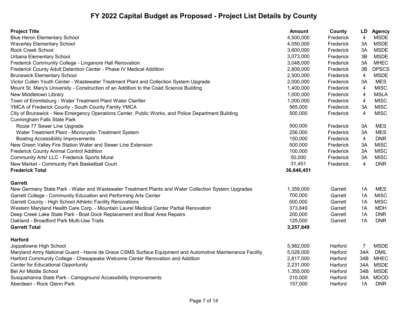| <b>Project Title</b>                                                                                     | <b>Amount</b> | County    | LD  | <b>Agency</b> |
|----------------------------------------------------------------------------------------------------------|---------------|-----------|-----|---------------|
| <b>Blue Heron Elementary School</b>                                                                      | 4,500,000     | Frederick | 4   | <b>MSDE</b>   |
| <b>Waverley Elementary School</b>                                                                        | 4,050,000     | Frederick | 3A  | <b>MSDE</b>   |
| <b>Rock Creek School</b>                                                                                 | 3,600,000     | Frederick | 3A  | <b>MSDE</b>   |
| Urbana Elementary School                                                                                 | 3,073,000     | Frederick | 3B  | <b>MSDE</b>   |
| Frederick Community College - Linganore Hall Renovation                                                  | 3,048,000     | Frederick | ЗA  | <b>MHEC</b>   |
| Frederick County Adult Detention Center - Phase IV Medical Addition                                      | 2,809,000     | Frederick | 3B  | <b>DPSCS</b>  |
| <b>Brunswick Elementary School</b>                                                                       | 2,500,000     | Frederick | 4   | <b>MSDE</b>   |
| Victor Cullen Youth Center - Wastewater Treatment Plant and Collection System Upgrade                    | 2,000,000     | Frederick | ЗA  | <b>MES</b>    |
| Mount St. Mary's University - Construction of an Addition to the Coad Science Building                   | 1,400,000     | Frederick | 4   | <b>MISC</b>   |
| New Middletown Library                                                                                   | 1,000,000     | Frederick | 4   | <b>MSLA</b>   |
| Town of Emmitsburg - Water Treatment Plant Water Clarifier                                               | 1,000,000     | Frederick | 4   | <b>MISC</b>   |
| YMCA of Frederick County - South County Family YMCA                                                      | 565,000       | Frederick | 3A  | <b>MISC</b>   |
| City of Brunswick - New Emergency Operations Center, Public Works, and Police Department Building        | 500,000       | Frederick | 4   | <b>MISC</b>   |
| <b>Cunningham Falls State Park</b>                                                                       |               |           |     |               |
| Route 77 Sewer Line Upgrade                                                                              | 500,000       | Frederick | 3A  | MES           |
| Water Treatment Plant - Microcystin Treatment System                                                     | 256,000       | Frederick | 3A  | <b>MES</b>    |
| <b>Boating Accessibility Improvements</b>                                                                | 150,000       | Frederick | 4   | <b>DNR</b>    |
| New Green Valley Fire Station Water and Sewer Line Extension                                             | 500,000       | Frederick | ЗA  | <b>MISC</b>   |
| <b>Frederick County Animal Control Addition</b>                                                          | 100,000       | Frederick | 3A  | <b>MISC</b>   |
| Community Arts! LLC - Frederick Sports Mural                                                             | 50,000        | Frederick | 3A  | <b>MISC</b>   |
| New Market - Community Park Basketball Court                                                             | 31,451        | Frederick | 4   | <b>DNR</b>    |
| <b>Frederick Total</b>                                                                                   | 36,646,451    |           |     |               |
| <b>Garrett</b>                                                                                           |               |           |     |               |
| New Germany State Park - Water and Wastewater Treatment Plants and Water Collection System Upgrades      | 1,359,000     | Garrett   | 1A  | <b>MES</b>    |
| Garrett College - Community Education and Performing Arts Center                                         | 700,000       | Garrett   | 1A  | <b>MISC</b>   |
| Garrett County - High School Athletic Facility Renovations                                               | 500,000       | Garrett   | 1A  | <b>MISC</b>   |
| Western Maryland Health Care Corp. - Mountain Laurel Medical Center Partial Renovation                   | 373,849       | Garrett   | 1A  | <b>MDH</b>    |
| Deep Creek Lake State Park - Boat Dock Replacement and Boat Area Repairs                                 | 200,000       | Garrett   | 1A  | <b>DNR</b>    |
| Oakland - Broadford Park Multi-Use Trails                                                                | 125,000       | Garrett   | 1A  | <b>DNR</b>    |
| <b>Garrett Total</b>                                                                                     | 3,257,849     |           |     |               |
| <b>Harford</b>                                                                                           |               |           |     |               |
| Joppatowne High School                                                                                   | 5,982,000     | Harford   | 7   | <b>MSDE</b>   |
| Maryland Army National Guard - Havre de Grace CSMS Surface Equipment and Automotive Maintenance Facility | 5,028,000     | Harford   | 34A | <b>DMIL</b>   |
| Harford Community College - Chesapeake Welcome Center Renovation and Addition                            | 2,817,000     | Harford   | 34B | <b>MHEC</b>   |
| <b>Center for Educational Opportunity</b>                                                                | 2,231,000     | Harford   | 34A | <b>MSDE</b>   |
| <b>Bel Air Middle School</b>                                                                             | 1,355,000     | Harford   | 34B | <b>MSDE</b>   |
| Susquehanna State Park - Campground Accessibility Improvements                                           | 210,000       | Harford   | 34A | <b>MDOD</b>   |
| Aberdeen - Rock Glenn Park                                                                               | 157,000       | Harford   | 1A  | <b>DNR</b>    |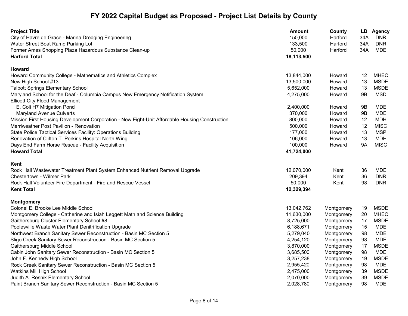| <b>Project Title</b>                                                                           | <b>Amount</b> | County     |     | LD Agency   |
|------------------------------------------------------------------------------------------------|---------------|------------|-----|-------------|
| City of Havre de Grace - Marina Dredging Engineering                                           | 150,000       | Harford    | 34A | <b>DNR</b>  |
| Water Street Boat Ramp Parking Lot                                                             | 133,500       | Harford    | 34A | <b>DNR</b>  |
| Former Ames Shopping Plaza Hazardous Substance Clean-up                                        | 50,000        | Harford    | 34A | MDE         |
| <b>Harford Total</b>                                                                           | 18,113,500    |            |     |             |
| <b>Howard</b>                                                                                  |               |            |     |             |
| Howard Community College - Mathematics and Athletics Complex                                   | 13,844,000    | Howard     | 12  | <b>MHEC</b> |
| New High School #13                                                                            | 13,500,000    | Howard     | 13  | <b>MSDE</b> |
| <b>Talbott Springs Elementary School</b>                                                       | 5,652,000     | Howard     | 13  | <b>MSDE</b> |
| Maryland School for the Deaf - Columbia Campus New Emergency Notification System               | 4,275,000     | Howard     | 9B  | <b>MSD</b>  |
| <b>Ellicott City Flood Management</b>                                                          |               |            |     |             |
| E. Coli H7 Mitigation Pond                                                                     | 2,400,000     | Howard     | 9Β  | MDE         |
| <b>Maryland Avenue Culverts</b>                                                                | 370,000       | Howard     | 9B  | <b>MDE</b>  |
| Mission First Housing Development Corporation - New Eight-Unit Affordable Housing Construction | 800,000       | Howard     | 12  | <b>MDH</b>  |
| Merriweather Post Pavilion - Renovation                                                        | 500,000       | Howard     | 12  | <b>MISC</b> |
| State Police Tactical Services Facility: Operations Building                                   | 177,000       | Howard     | 13  | <b>MSP</b>  |
| Renovation of Clifton T. Perkins Hospital North Wing                                           | 106,000       | Howard     | 13  | <b>MDH</b>  |
| Days End Farm Horse Rescue - Facility Acquisition                                              | 100,000       | Howard     | 9A  | <b>MISC</b> |
| <b>Howard Total</b>                                                                            | 41,724,000    |            |     |             |
| Kent                                                                                           |               |            |     |             |
| Rock Hall Wastewater Treatment Plant System Enhanced Nutrient Removal Upgrade                  | 12,070,000    | Kent       | 36  | <b>MDE</b>  |
| Chestertown - Wilmer Park                                                                      | 209,394       | Kent       | 36  | <b>DNR</b>  |
| Rock Hall Volunteer Fire Department - Fire and Rescue Vessel                                   | 50,000        | Kent       | 98  | <b>DNR</b>  |
| <b>Kent Total</b>                                                                              | 12,329,394    |            |     |             |
| <b>Montgomery</b>                                                                              |               |            |     |             |
| Colonel E. Brooke Lee Middle School                                                            | 13,042,762    | Montgomery | 19  | <b>MSDE</b> |
| Montgomery College - Catherine and Isiah Leggett Math and Science Building                     | 11,630,000    | Montgomery | 20  | <b>MHEC</b> |
| Gaithersburg Cluster Elementary School #8                                                      | 8,725,000     | Montgomery | 17  | <b>MSDE</b> |
| Poolesville Waste Water Plant Denitrification Upgrade                                          | 6,188,671     | Montgomery | 15  | <b>MDE</b>  |
| Northwest Branch Sanitary Sewer Reconstruction - Basin MC Section 5                            | 5,279,040     | Montgomery | 98  | <b>MDE</b>  |
| Sligo Creek Sanitary Sewer Reconstruction - Basin MC Section 5                                 | 4,254,120     | Montgomery | 98  | <b>MDE</b>  |
| Gaithersburg Middle School                                                                     | 3,870,000     | Montgomery | 17  | <b>MSDE</b> |
| Cabin John Sanitary Sewer Reconstruction - Basin MC Section 5                                  | 3,685,500     | Montgomery | 98  | <b>MDE</b>  |
| John F. Kennedy High School                                                                    | 3,257,238     | Montgomery | 19  | <b>MSDE</b> |
| Rock Creek Sanitary Sewer Reconstruction - Basin MC Section 5                                  | 2,955,420     | Montgomery | 98  | <b>MDE</b>  |
| Watkins Mill High School                                                                       | 2,475,000     | Montgomery | 39  | <b>MSDE</b> |
| Judith A. Resnik Elementary School                                                             | 2,070,000     | Montgomery | 39  | <b>MSDE</b> |
| Paint Branch Sanitary Sewer Reconstruction - Basin MC Section 5                                | 2,028,780     | Montgomery | 98  | <b>MDE</b>  |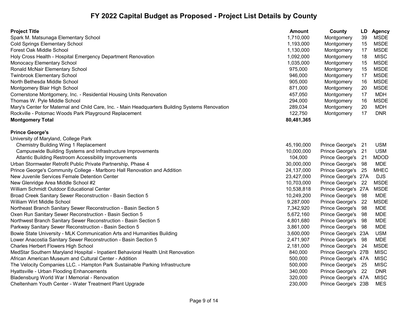| <b>Project Title</b>                                                                            | <b>Amount</b> | County              | LD   | <b>Agency</b> |
|-------------------------------------------------------------------------------------------------|---------------|---------------------|------|---------------|
| Spark M. Matsunaga Elementary School                                                            | 1,710,000     | Montgomery          | 39   | <b>MSDE</b>   |
| <b>Cold Springs Elementary School</b>                                                           | 1,193,000     | Montgomery          | 15   | <b>MSDE</b>   |
| Forest Oak Middle School                                                                        | 1,130,000     | Montgomery          | 17   | <b>MSDE</b>   |
| Holy Cross Health - Hospital Emergency Department Renovation                                    | 1,092,000     | Montgomery          | 18   | <b>MISC</b>   |
| <b>Monocacy Elementary School</b>                                                               | 1,035,000     | Montgomery          | 15   | <b>MSDE</b>   |
| Ronald McNair Elementary School                                                                 | 975,000       | Montgomery          | 15   | <b>MSDE</b>   |
| <b>Twinbrook Elementary School</b>                                                              | 946,000       | Montgomery          | 17   | <b>MSDE</b>   |
| North Bethesda Middle School                                                                    | 905,000       | Montgomery          | 16   | <b>MSDE</b>   |
| Montgomery Blair High School                                                                    | 871,000       | Montgomery          | 20   | <b>MSDE</b>   |
| Cornerstone Montgomery, Inc. - Residential Housing Units Renovation                             | 457,050       | Montgomery          | 17   | <b>MDH</b>    |
| Thomas W. Pyle Middle School                                                                    | 294,000       | Montgomery          | 16   | <b>MSDE</b>   |
| Mary's Center for Maternal and Child Care, Inc. - Main Headquarters Building Systems Renovation | 289,034       | Montgomery          | 20   | <b>MDH</b>    |
| Rockville - Potomac Woods Park Playground Replacement                                           | 122,750       | Montgomery          | 17   | <b>DNR</b>    |
| <b>Montgomery Total</b>                                                                         | 80,481,365    |                     |      |               |
| <b>Prince George's</b>                                                                          |               |                     |      |               |
| University of Maryland, College Park                                                            |               |                     |      |               |
| <b>Chemistry Building Wing 1 Replacement</b>                                                    | 45,190,000    | Prince George's     | - 21 | <b>USM</b>    |
| Campuswide Building Systems and Infrastructure Improvements                                     | 10,000,000    | Prince George's     | 21   | <b>USM</b>    |
| Atlantic Building Restroom Accessibility Improvements                                           | 104,000       | Prince George's 21  |      | <b>MDOD</b>   |
| Urban Stormwater Retrofit Public Private Partnership, Phase 4                                   | 30,000,000    | Prince George's 98  |      | <b>MDE</b>    |
| Prince George's Community College - Marlboro Hall Renovation and Addition                       | 24,137,000    | Prince George's 25  |      | <b>MHEC</b>   |
| New Juvenile Services Female Detention Center                                                   | 23,427,000    | Prince George's 27A |      | <b>DJS</b>    |
| New Glenridge Area Middle School #2                                                             | 10,703,000    | Prince George's 22  |      | <b>MSDE</b>   |
| William Schmidt Outdoor Educational Center                                                      | 10,538,818    | Prince George's 27A |      | <b>MSDE</b>   |
| Broad Creek Sanitary Sewer Reconstruction - Basin Section 5                                     | 10,249,200    | Prince George's     | - 98 | <b>MDE</b>    |
| William Wirt Middle School                                                                      | 9,287,000     | Prince George's 22  |      | <b>MSDE</b>   |
| Northeast Branch Sanitary Sewer Reconstruction - Basin Section 5                                | 7,342,920     | Prince George's     | 98   | <b>MDE</b>    |
| Oxen Run Sanitary Sewer Reconstruction - Basin Section 5                                        | 5,672,160     | Prince George's     | -98  | <b>MDE</b>    |
| Northwest Branch Sanitary Sewer Reconstruction - Basin Section 5                                | 4,801,680     | Prince George's 98  |      | <b>MDE</b>    |
| Parkway Sanitary Sewer Reconstruction - Basin Section 5                                         | 3,861,000     | Prince George's 98  |      | <b>MDE</b>    |
| Bowie State University - MLK Communication Arts and Humanities Building                         | 3,600,000     | Prince George's 23A |      | <b>USM</b>    |
| Lower Anacostia Sanitary Sewer Reconstruction - Basin Section 5                                 | 2,471,907     | Prince George's     | - 98 | <b>MDE</b>    |
| Charles Herbert Flowers High School                                                             | 2,181,000     | Prince George's 24  |      | <b>MSDE</b>   |
| MedStar Southern Maryland Hospital - Inpatient Behavioral Health Unit Renovation                | 840,000       | Prince George's 27B |      | <b>MISC</b>   |
| African American Museum and Cultural Center - Addition                                          | 500,000       | Prince George's 47A |      | <b>MISC</b>   |
| The Velocity Companies LLC. - Hampton Park Sustainable Parking Infrastructure                   | 500,000       | Prince George's 25  |      | <b>MISC</b>   |
| Hyattsville - Urban Flooding Enhancements                                                       | 340,000       | Prince George's 22  |      | <b>DNR</b>    |
| Bladensburg World War I Memorial - Renovation                                                   | 320,000       | Prince George's 47A |      | <b>MISC</b>   |
| Cheltenham Youth Center - Water Treatment Plant Upgrade                                         | 230,000       | Prince George's 23B |      | <b>MES</b>    |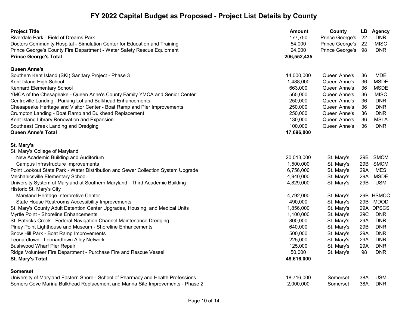| <b>Project Title</b>                                                                                     | <b>Amount</b> | County             |     | LD Agency   |
|----------------------------------------------------------------------------------------------------------|---------------|--------------------|-----|-------------|
| Riverdale Park - Field of Dreams Park                                                                    | 177,750       | Prince George's    | 22  | <b>DNR</b>  |
| Doctors Community Hospital - Simulation Center for Education and Training                                | 54,000        | Prince George's    | 22  | <b>MISC</b> |
| Prince George's County Fire Department - Water Safety Rescue Equipment                                   | 24,000        | Prince George's 98 |     | <b>DNR</b>  |
| <b>Prince George's Total</b>                                                                             | 206,552,435   |                    |     |             |
| Queen Anne's                                                                                             |               |                    |     |             |
| Southern Kent Island (SKI) Sanitary Project - Phase 3                                                    | 14,000,000    | Queen Anne's       | 36  | <b>MDE</b>  |
| Kent Island High School                                                                                  | 1,488,000     | Queen Anne's       | 36  | <b>MSDE</b> |
| <b>Kennard Elementary School</b>                                                                         | 663,000       | Queen Anne's       | 36  | <b>MSDE</b> |
| YMCA of the Chesapeake - Queen Anne's County Family YMCA and Senior Center                               | 565,000       | Queen Anne's       | 36  | <b>MISC</b> |
| Centreville Landing - Parking Lot and Bulkhead Enhancements                                              | 250,000       | Queen Anne's       | 36  | <b>DNR</b>  |
| Chesapeake Heritage and Visitor Center - Boat Ramp and Pier Improvements                                 | 250,000       | Queen Anne's       | 36  | <b>DNR</b>  |
| Crumpton Landing - Boat Ramp and Bulkhead Replacement                                                    | 250,000       | Queen Anne's       | 36  | <b>DNR</b>  |
| Kent Island Library Renovation and Expansion                                                             | 130,000       | Queen Anne's       | 36  | MSLA        |
| Southeast Creek Landing and Dredging                                                                     | 100,000       | Queen Anne's       | 36  | <b>DNR</b>  |
| <b>Queen Anne's Total</b>                                                                                | 17,696,000    |                    |     |             |
| St. Mary's                                                                                               |               |                    |     |             |
| St. Mary's College of Maryland                                                                           |               |                    |     |             |
| New Academic Building and Auditorium                                                                     | 20,013,000    | St. Mary's         |     | 29B SMCM    |
| Campus Infrastructure Improvements                                                                       | 1,500,000     | St. Mary's         |     | 29B SMCM    |
| Point Lookout State Park - Water Distribution and Sewer Collection System Upgrade                        | 6,756,000     | St. Mary's         | 29A | <b>MES</b>  |
| Mechanicsville Elementary School                                                                         | 4,940,000     | St. Mary's         | 29A | <b>MSDE</b> |
| University System of Maryland at Southern Maryland - Third Academic Building<br>Historic St. Mary's City | 4,829,000     | St. Mary's         | 29B | <b>USM</b>  |
| Maryland Heritage Interpretive Center                                                                    | 4,792,000     | St. Mary's         |     | 29B HSMCC   |
| State House Restrooms Accessibility Improvements                                                         | 490,000       | St. Mary's         |     | 29B MDOD    |
| St. Mary's County Adult Detention Center Upgrades, Housing, and Medical Units                            | 1,856,000     | St. Mary's         |     | 29A DPSCS   |
| Myrtle Point - Shoreline Enhancements                                                                    | 1,100,000     | St. Mary's         | 29C | <b>DNR</b>  |
| St. Patricks Creek - Federal Navigation Channel Maintenance Dredging                                     | 800,000       | St. Mary's         | 29A | <b>DNR</b>  |
| Piney Point Lighthouse and Museum - Shoreline Enhancements                                               | 640,000       | St. Mary's         | 29B | <b>DNR</b>  |
| Snow Hill Park - Boat Ramp Improvements                                                                  | 500,000       | St. Mary's         | 29A | <b>DNR</b>  |
| Leonardtown - Leonardtown Alley Network                                                                  | 225,000       | St. Mary's         | 29A | <b>DNR</b>  |
| <b>Bushwood Wharf Pier Repair</b>                                                                        | 125,000       | St. Mary's         | 29A | <b>DNR</b>  |
| Ridge Volunteer Fire Department - Purchase Fire and Rescue Vessel                                        | 50,000        | St. Mary's         | 98  | <b>DNR</b>  |
| St. Mary's Total                                                                                         | 48,616,000    |                    |     |             |
| <b>Somerset</b>                                                                                          |               |                    |     |             |
| University of Maryland Eastern Shore - School of Pharmacy and Health Professions                         | 18,716,000    | Somerset           | 38A | <b>USM</b>  |
| Somers Cove Marina Bulkhead Replacement and Marina Site Improvements - Phase 2                           | 2,000,000     | Somerset           | 38A | <b>DNR</b>  |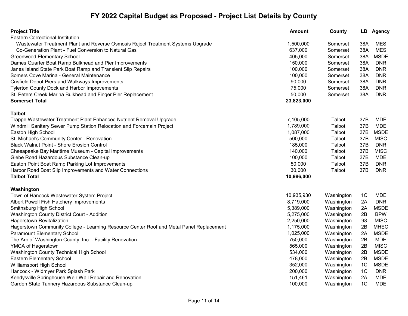| <b>Project Title</b>                                                                     | <b>Amount</b> | County     | LD             | <b>Agency</b> |
|------------------------------------------------------------------------------------------|---------------|------------|----------------|---------------|
| <b>Eastern Correctional Institution</b>                                                  |               |            |                |               |
| Wastewater Treatment Plant and Reverse Osmosis Reject Treatment Systems Upgrade          | 1,500,000     | Somerset   | 38A            | <b>MES</b>    |
| Co-Generation Plant - Fuel Conversion to Natural Gas                                     | 637,000       | Somerset   | 38A            | <b>MES</b>    |
| Greenwood Elementary School                                                              | 405,000       | Somerset   | 38A            | <b>MSDE</b>   |
| Dames Quarter Boat Ramp Bulkhead and Pier Improvements                                   | 150,000       | Somerset   | 38A            | <b>DNR</b>    |
| Janes Island State Park Boat Ramp and Transient Slip Repairs                             | 100,000       | Somerset   | 38A            | <b>DNR</b>    |
| Somers Cove Marina - General Maintenance                                                 | 100,000       | Somerset   | 38A            | <b>DNR</b>    |
| Crisfield Depot Piers and Walkways Improvements                                          | 90,000        | Somerset   | 38A            | <b>DNR</b>    |
| <b>Tylerton County Dock and Harbor Improvements</b>                                      | 75,000        | Somerset   | 38A            | <b>DNR</b>    |
| St. Peters Creek Marina Bulkhead and Finger Pier Replacement                             | 50,000        | Somerset   | 38A            | <b>DNR</b>    |
| <b>Somerset Total</b>                                                                    | 23,823,000    |            |                |               |
| <b>Talbot</b>                                                                            |               |            |                |               |
| Trappe Wastewater Treatment Plant Enhanced Nutrient Removal Upgrade                      | 7,105,000     | Talbot     | 37B            | <b>MDE</b>    |
| Windmill Sanitary Sewer Pump Station Relocation and Forcemain Project                    | 1,789,000     | Talbot     | 37B            | <b>MDE</b>    |
| Easton High School                                                                       | 1,087,000     | Talbot     | 37B            | <b>MSDE</b>   |
| St. Michael's Community Center - Renovation                                              | 500,000       | Talbot     | 37B            | <b>MISC</b>   |
| <b>Black Walnut Point - Shore Erosion Control</b>                                        | 185,000       | Talbot     | 37B            | <b>DNR</b>    |
| Chesapeake Bay Maritime Museum - Capital Improvements                                    | 140,000       | Talbot     | 37B            | <b>MISC</b>   |
| Glebe Road Hazardous Substance Clean-up                                                  | 100,000       | Talbot     | 37B            | <b>MDE</b>    |
| Easton Point Boat Ramp Parking Lot Improvements                                          | 50,000        | Talbot     | 37B            | <b>DNR</b>    |
| Harbor Road Boat Slip Improvements and Water Connections                                 | 30,000        | Talbot     | 37B            | <b>DNR</b>    |
| <b>Talbot Total</b>                                                                      | 10,986,000    |            |                |               |
|                                                                                          |               |            |                |               |
| Washington                                                                               |               |            |                |               |
| Town of Hancock Wastewater System Project                                                | 10,935,930    | Washington | 1C             | <b>MDE</b>    |
| Albert Powell Fish Hatchery Improvements                                                 | 8,719,000     | Washington | 2A             | <b>DNR</b>    |
| Smithsburg High School                                                                   | 5,389,000     | Washington | 2A             | <b>MSDE</b>   |
| Washington County District Court - Addition                                              | 5,275,000     | Washington | 2B             | <b>BPW</b>    |
| Hagerstown Revitalization                                                                | 2,250,000     | Washington | 98             | <b>MISC</b>   |
| Hagerstown Community College - Learning Resource Center Roof and Metal Panel Replacement | 1,175,000     | Washington | 2B             | <b>MHEC</b>   |
| Paramount Elementary School                                                              | 1,025,000     | Washington | 2A             | <b>MSDE</b>   |
| The Arc of Washington County, Inc. - Facility Renovation                                 | 750,000       | Washington | 2B             | <b>MDH</b>    |
| YMCA of Hagerstown                                                                       | 565,000       | Washington | 2B             | <b>MISC</b>   |
| Washington County Technical High School                                                  | 534,000       | Washington | 2B             | <b>MSDE</b>   |
| Eastern Elementary School                                                                | 478,000       | Washington | 2B             | <b>MSDE</b>   |
| Williamsport High School                                                                 | 352,000       | Washington | 1 <sup>C</sup> | <b>MSDE</b>   |
| Hancock - Widmyer Park Splash Park                                                       | 200,000       | Washington | 1 <sup>C</sup> | <b>DNR</b>    |
| Keedysville Springhouse Weir Wall Repair and Renovation                                  | 151,461       | Washington | 2A             | <b>MDE</b>    |
| Garden State Tannery Hazardous Substance Clean-up                                        | 100,000       | Washington | 1 <sub>C</sub> | <b>MDE</b>    |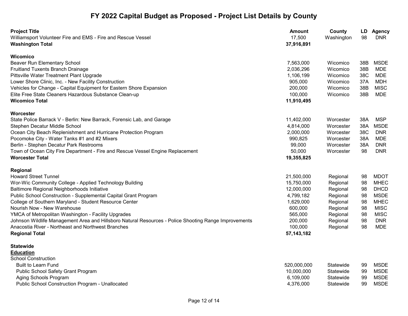| <b>Project Title</b><br>Williamsport Volunteer Fire and EMS - Fire and Rescue Vessel                  | <b>Amount</b><br>17,500 | County<br>Washington | LD<br>98 | <b>Agency</b><br><b>DNR</b> |
|-------------------------------------------------------------------------------------------------------|-------------------------|----------------------|----------|-----------------------------|
| <b>Washington Total</b>                                                                               | 37,916,891              |                      |          |                             |
| <b>Wicomico</b>                                                                                       |                         |                      |          |                             |
| Beaver Run Elementary School                                                                          | 7,563,000               | Wicomico             | 38B      | <b>MSDE</b>                 |
| Fruitland Tuxents Branch Drainage                                                                     | 2,036,296               | Wicomico             | 38B      | <b>MDE</b>                  |
| Pittsville Water Treatment Plant Upgrade                                                              | 1,106,199               | Wicomico             | 38C      | <b>MDE</b>                  |
| Lower Shore Clinic, Inc. - New Facility Construction                                                  | 905,000                 | Wicomico             | 37A      | <b>MDH</b>                  |
| Vehicles for Change - Capital Equipment for Eastern Shore Expansion                                   | 200,000                 | Wicomico             | 38B      | <b>MISC</b>                 |
| Elite Free State Cleaners Hazardous Substance Clean-up                                                | 100,000                 | Wicomico             | 38B      | <b>MDE</b>                  |
| <b>Wicomico Total</b>                                                                                 | 11,910,495              |                      |          |                             |
| Worcester                                                                                             |                         |                      |          |                             |
| State Police Barrack V - Berlin: New Barrack, Forensic Lab, and Garage                                | 11,402,000              | Worcester            | 38A      | <b>MSP</b>                  |
| Stephen Decatur Middle School                                                                         | 4,814,000               | Worcester            | 38A      | <b>MSDE</b>                 |
| Ocean City Beach Replenishment and Hurricane Protection Program                                       | 2,000,000               | Worcester            | 38C      | <b>DNR</b>                  |
| Pocomoke City - Water Tanks #1 and #2 Mixers                                                          | 990,825                 | Worcester            | 38A      | <b>MDE</b>                  |
| Berlin - Stephen Decatur Park Restrooms                                                               | 99,000                  | Worcester            | 38A      | <b>DNR</b>                  |
| Town of Ocean City Fire Department - Fire and Rescue Vessel Engine Replacement                        | 50,000                  | Worcester            | 98       | <b>DNR</b>                  |
| <b>Worcester Total</b>                                                                                | 19,355,825              |                      |          |                             |
| Regional                                                                                              |                         |                      |          |                             |
| <b>Howard Street Tunnel</b>                                                                           | 21,500,000              | Regional             | 98       | <b>MDOT</b>                 |
| Wor-Wic Community College - Applied Technology Building                                               | 15,750,000              | Regional             | 98       | <b>MHEC</b>                 |
| Baltimore Regional Neighborhoods Initiative                                                           | 12,000,000              | Regional             | 98       | <b>DHCD</b>                 |
| Public School Construction - Supplemental Capital Grant Program                                       | 4,799,182               | Regional             | 98       | <b>MSDE</b>                 |
| College of Southern Maryland - Student Resource Center                                                | 1,629,000               | Regional             | 98       | <b>MHEC</b>                 |
| Nourish Now - New Warehouse                                                                           | 600,000                 | Regional             | 98       | <b>MISC</b>                 |
| YMCA of Metropolitan Washington - Facility Upgrades                                                   | 565,000                 | Regional             | 98       | <b>MISC</b>                 |
| Johnson Wildlife Management Area and Hillsboro Natural Resources - Police Shooting Range Improvements | 200,000                 | Regional             | 98       | <b>DNR</b>                  |
| Anacostia River - Northeast and Northwest Branches                                                    | 100,000                 | Regional             | 98       | <b>MDE</b>                  |
| <b>Regional Total</b>                                                                                 | 57, 143, 182            |                      |          |                             |
| <b>Statewide</b>                                                                                      |                         |                      |          |                             |
| <b>Education</b>                                                                                      |                         |                      |          |                             |
| <b>School Construction</b>                                                                            |                         |                      |          |                             |
| <b>Built to Learn Fund</b>                                                                            | 520,000,000             | Statewide            | 99       | <b>MSDE</b>                 |
| Public School Safety Grant Program                                                                    | 10,000,000              | Statewide            | 99       | <b>MSDE</b>                 |
| Aging Schools Program                                                                                 | 6,109,000               | Statewide            | 99       | <b>MSDE</b>                 |
| <b>Public School Construction Program - Unallocated</b>                                               | 4,376,000               | Statewide            | 99       | <b>MSDE</b>                 |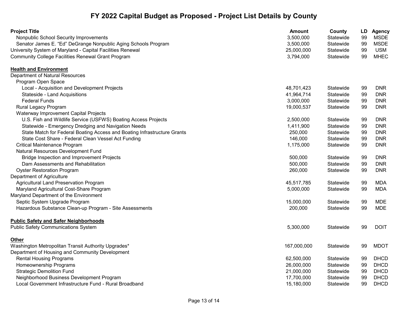| <b>Project Title</b>                                                     | Amount      | County    | LD | <b>Agency</b> |
|--------------------------------------------------------------------------|-------------|-----------|----|---------------|
| Nonpublic School Security Improvements                                   | 3,500,000   | Statewide | 99 | <b>MSDE</b>   |
| Senator James E. "Ed" DeGrange Nonpublic Aging Schools Program           | 3,500,000   | Statewide | 99 | <b>MSDE</b>   |
| University System of Maryland - Capital Facilities Renewal               | 25,000,000  | Statewide | 99 | <b>USM</b>    |
| <b>Community College Facilities Renewal Grant Program</b>                | 3,794,000   | Statewide | 99 | <b>MHEC</b>   |
| <b>Health and Environment</b>                                            |             |           |    |               |
| Department of Natural Resources                                          |             |           |    |               |
| Program Open Space                                                       |             |           |    |               |
| Local - Acquisition and Development Projects                             | 48,701,423  | Statewide | 99 | <b>DNR</b>    |
| Stateside - Land Acquisitions                                            | 41,964,714  | Statewide | 99 | <b>DNR</b>    |
| <b>Federal Funds</b>                                                     | 3,000,000   | Statewide | 99 | <b>DNR</b>    |
| Rural Legacy Program                                                     | 19,000,537  | Statewide | 99 | <b>DNR</b>    |
| Waterway Improvement Capital Projects                                    |             |           |    |               |
| U.S. Fish and Wildlife Service (USFWS) Boating Access Projects           | 2,500,000   | Statewide | 99 | <b>DNR</b>    |
| Statewide - Emergency Dredging and Navigation Needs                      | 1,411,900   | Statewide | 99 | <b>DNR</b>    |
| State Match for Federal Boating Access and Boating Infrastructure Grants | 250,000     | Statewide | 99 | <b>DNR</b>    |
| State Cost Share - Federal Clean Vessel Act Funding                      | 146,000     | Statewide | 99 | <b>DNR</b>    |
| Critical Maintenance Program                                             | 1,175,000   | Statewide | 99 | <b>DNR</b>    |
| Natural Resources Development Fund                                       |             |           |    |               |
| Bridge Inspection and Improvement Projects                               | 500,000     | Statewide | 99 | <b>DNR</b>    |
| Dam Assessments and Rehabilitation                                       | 500,000     | Statewide | 99 | <b>DNR</b>    |
| <b>Oyster Restoration Program</b>                                        | 260,000     | Statewide | 99 | <b>DNR</b>    |
| Department of Agriculture                                                |             |           |    |               |
| Agricultural Land Preservation Program                                   | 45,517,785  | Statewide | 99 | <b>MDA</b>    |
| Maryland Agricultural Cost-Share Program                                 | 5,000,000   | Statewide | 99 | <b>MDA</b>    |
| Maryland Department of the Environment                                   |             |           |    |               |
| Septic System Upgrade Program                                            | 15,000,000  | Statewide | 99 | MDE           |
| Hazardous Substance Clean-up Program - Site Assessments                  | 200,000     | Statewide | 99 | <b>MDE</b>    |
| <b>Public Safety and Safer Neighborhoods</b>                             |             |           |    |               |
| <b>Public Safety Communications System</b>                               | 5,300,000   | Statewide | 99 | <b>DOIT</b>   |
| <b>Other</b>                                                             |             |           |    |               |
| Washington Metropolitan Transit Authority Upgrades*                      | 167,000,000 | Statewide | 99 | <b>MDOT</b>   |
| Department of Housing and Community Development                          |             |           |    |               |
| <b>Rental Housing Programs</b>                                           | 62,500,000  | Statewide | 99 | <b>DHCD</b>   |
| Homeownership Programs                                                   | 26,000,000  | Statewide | 99 | <b>DHCD</b>   |
| <b>Strategic Demolition Fund</b>                                         | 21,000,000  | Statewide | 99 | <b>DHCD</b>   |
| Neighborhood Business Development Program                                | 17,700,000  | Statewide | 99 | <b>DHCD</b>   |
| Local Government Infrastructure Fund - Rural Broadband                   | 15,180,000  | Statewide | 99 | <b>DHCD</b>   |